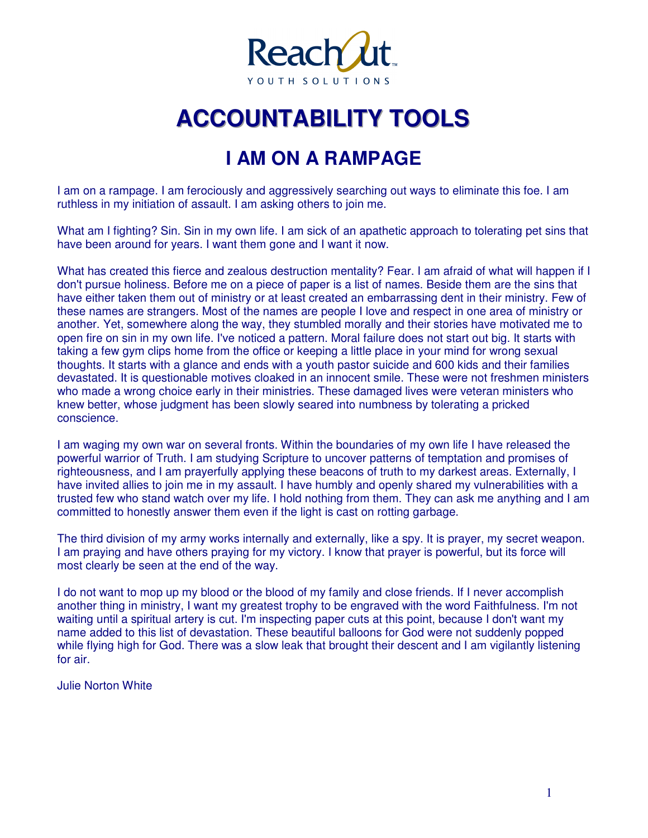

# **ACCOUNTABIILIITY TOOLS**

### **I AM ON A RAMPAGE**

I am on a rampage. I am ferociously and aggressively searching out ways to eliminate this foe. I am ruthless in my initiation of assault. I am asking others to join me.

What am I fighting? Sin. Sin in my own life. I am sick of an apathetic approach to tolerating pet sins that have been around for years. I want them gone and I want it now.

What has created this fierce and zealous destruction mentality? Fear. I am afraid of what will happen if I don't pursue holiness. Before me on a piece of paper is a list of names. Beside them are the sins that have either taken them out of ministry or at least created an embarrassing dent in their ministry. Few of these names are strangers. Most of the names are people I love and respect in one area of ministry or another. Yet, somewhere along the way, they stumbled morally and their stories have motivated me to open fire on sin in my own life. I've noticed a pattern. Moral failure does not start out big. It starts with taking a few gym clips home from the office or keeping a little place in your mind for wrong sexual thoughts. It starts with a glance and ends with a youth pastor suicide and 600 kids and their families devastated. It is questionable motives cloaked in an innocent smile. These were not freshmen ministers who made a wrong choice early in their ministries. These damaged lives were veteran ministers who knew better, whose judgment has been slowly seared into numbness by tolerating a pricked conscience.

I am waging my own war on several fronts. Within the boundaries of my own life I have released the powerful warrior of Truth. I am studying Scripture to uncover patterns of temptation and promises of righteousness, and I am prayerfully applying these beacons of truth to my darkest areas. Externally, I have invited allies to join me in my assault. I have humbly and openly shared my vulnerabilities with a trusted few who stand watch over my life. I hold nothing from them. They can ask me anything and I am committed to honestly answer them even if the light is cast on rotting garbage.

The third division of my army works internally and externally, like a spy. It is prayer, my secret weapon. I am praying and have others praying for my victory. I know that prayer is powerful, but its force will most clearly be seen at the end of the way.

I do not want to mop up my blood or the blood of my family and close friends. If I never accomplish another thing in ministry, I want my greatest trophy to be engraved with the word Faithfulness. I'm not waiting until a spiritual artery is cut. I'm inspecting paper cuts at this point, because I don't want my name added to this list of devastation. These beautiful balloons for God were not suddenly popped while flying high for God. There was a slow leak that brought their descent and I am vigilantly listening for air.

Julie Norton White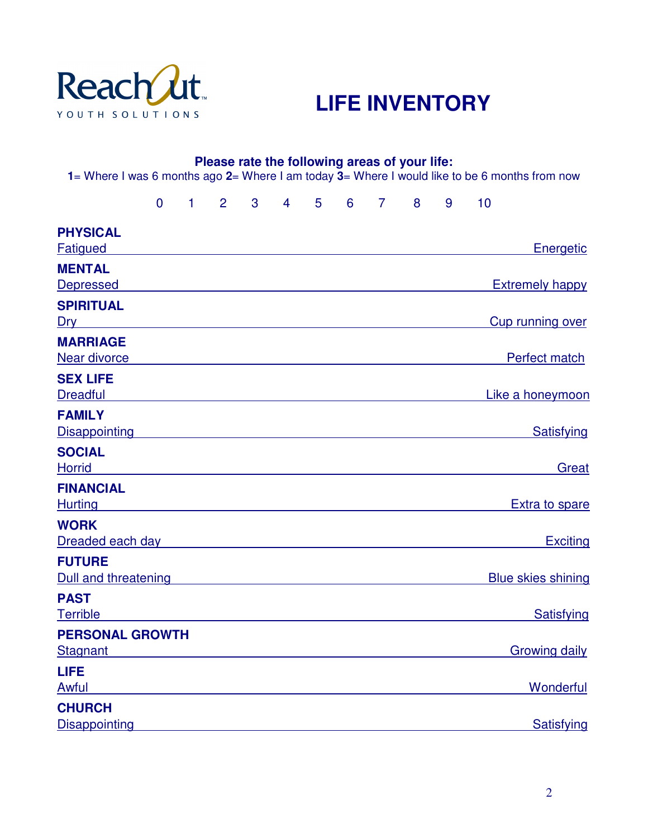

## **LIFE INVENTORY**

| 1= Where I was 6 months ago 2= Where I am today 3= Where I would like to be 6 months from now                                      |                |              |             |                |                |       |       | Please rate the following areas of your life: |   |   |    |                           |
|------------------------------------------------------------------------------------------------------------------------------------|----------------|--------------|-------------|----------------|----------------|-------|-------|-----------------------------------------------|---|---|----|---------------------------|
|                                                                                                                                    | $\overline{0}$ | $\mathbf{1}$ | $2^{\circ}$ | 3 <sup>1</sup> | $\overline{4}$ | $5 -$ | $6 -$ | $\overline{7}$                                | 8 | 9 | 10 |                           |
| <b>PHYSICAL</b><br>Fatigued                                                                                                        |                |              |             |                |                |       |       |                                               |   |   |    | Energetic                 |
| <b>MENTAL</b><br><b>Depressed</b>                                                                                                  |                |              |             |                |                |       |       |                                               |   |   |    | <b>Extremely happy</b>    |
| <b>SPIRITUAL</b><br>Dry 2008 - 2009 - 2009 - 2009 - 2010 - 2010 - 2010 - 2010 - 2010 - 2010 - 2010 - 2010 - 2010 - 2010 - 2010 - 2 |                |              |             |                |                |       |       |                                               |   |   |    | Cup running over          |
| <b>MARRIAGE</b><br>Near divorce                                                                                                    |                |              |             |                |                |       |       |                                               |   |   |    | Perfect match             |
| <b>SEX LIFE</b><br><b>Dreadful</b>                                                                                                 |                |              |             |                |                |       |       |                                               |   |   |    | Like a honeymoon          |
| <b>FAMILY</b><br><b>Disappointing</b>                                                                                              |                |              |             |                |                |       |       |                                               |   |   |    | Satisfying                |
| <b>SOCIAL</b><br><b>Horrid</b>                                                                                                     |                |              |             |                |                |       |       |                                               |   |   |    | Great                     |
| <b>FINANCIAL</b><br><b>Hurting</b>                                                                                                 |                |              |             |                |                |       |       |                                               |   |   |    | Extra to spare            |
| <b>WORK</b><br>Dreaded each day                                                                                                    |                |              |             |                |                |       |       |                                               |   |   |    | <b>Exciting</b>           |
| <b>FUTURE</b><br>Dull and threatening                                                                                              |                |              |             |                |                |       |       |                                               |   |   |    | <b>Blue skies shining</b> |
| <b>PAST</b><br><b>Terrible</b>                                                                                                     |                |              |             |                |                |       |       |                                               |   |   |    | Satisfying                |
| <b>PERSONAL GROWTH</b><br><b>Stagnant</b>                                                                                          |                |              |             |                |                |       |       |                                               |   |   |    | <b>Growing daily</b>      |
| <b>LIFE</b><br>Awful                                                                                                               |                |              |             |                |                |       |       |                                               |   |   |    | <b>Wonderful</b>          |
| <b>CHURCH</b><br>Disappointing                                                                                                     |                |              |             |                |                |       |       |                                               |   |   |    | Satisfying                |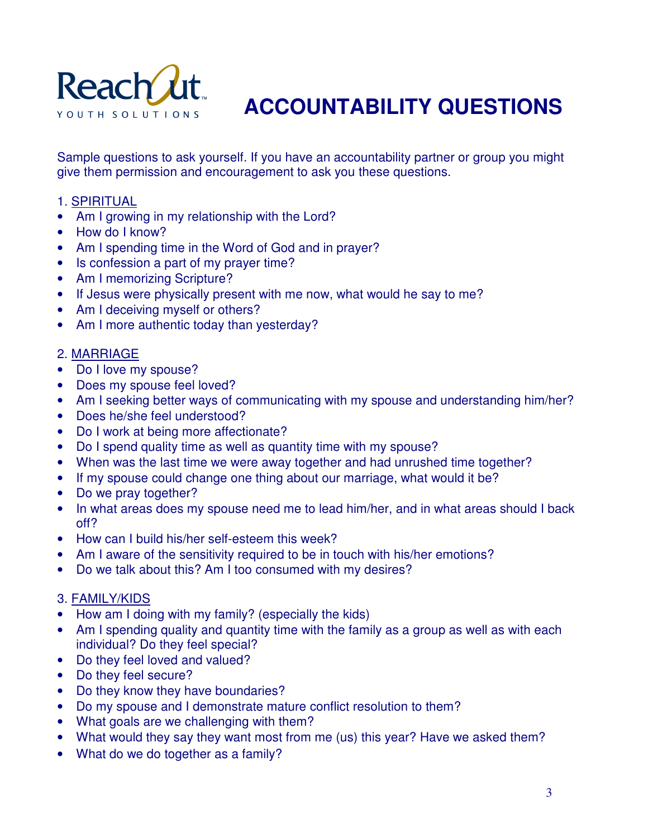

## **ACCOUNTABILITY QUESTIONS**

Sample questions to ask yourself. If you have an accountability partner or group you might give them permission and encouragement to ask you these questions.

#### 1. SPIRITUAL

- Am I growing in my relationship with the Lord?
- How do I know?
- Am I spending time in the Word of God and in prayer?
- Is confession a part of my prayer time?
- Am I memorizing Scripture?
- If Jesus were physically present with me now, what would he say to me?
- Am I deceiving myself or others?
- Am I more authentic today than yesterday?

#### 2. MARRIAGE

- Do I love my spouse?
- Does my spouse feel loved?
- Am I seeking better ways of communicating with my spouse and understanding him/her?
- Does he/she feel understood?
- Do I work at being more affectionate?
- Do I spend quality time as well as quantity time with my spouse?
- When was the last time we were away together and had unrushed time together?
- If my spouse could change one thing about our marriage, what would it be?
- Do we pray together?
- In what areas does my spouse need me to lead him/her, and in what areas should I back off?
- How can I build his/her self-esteem this week?
- Am I aware of the sensitivity required to be in touch with his/her emotions?
- Do we talk about this? Am I too consumed with my desires?

#### 3. FAMILY/KIDS

- How am I doing with my family? (especially the kids)
- Am I spending quality and quantity time with the family as a group as well as with each individual? Do they feel special?
- Do they feel loved and valued?
- Do they feel secure?
- Do they know they have boundaries?
- Do my spouse and I demonstrate mature conflict resolution to them?
- What goals are we challenging with them?
- What would they say they want most from me (us) this year? Have we asked them?
- What do we do together as a family?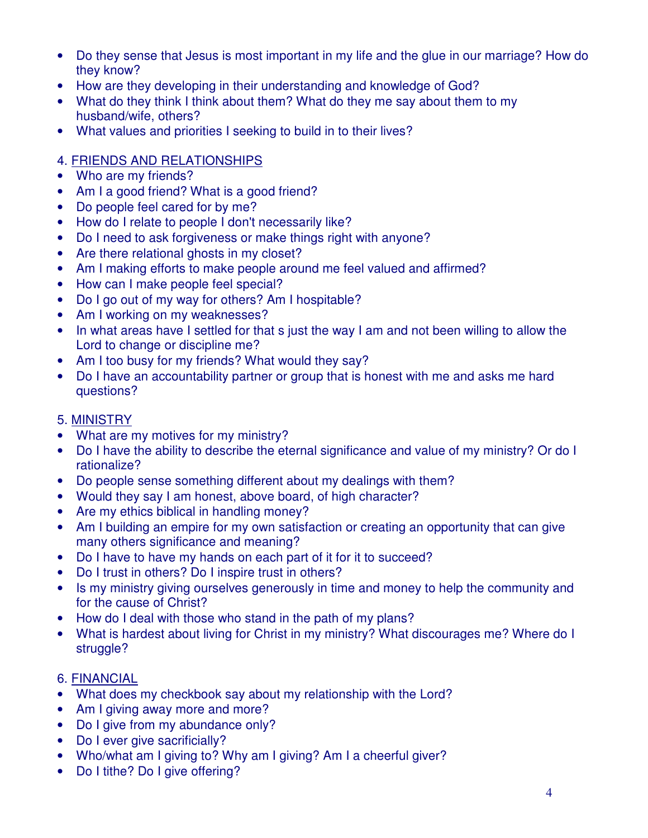- Do they sense that Jesus is most important in my life and the glue in our marriage? How do they know?
- How are they developing in their understanding and knowledge of God?
- What do they think I think about them? What do they me say about them to my husband/wife, others?
- What values and priorities I seeking to build in to their lives?

#### 4. FRIENDS AND RELATIONSHIPS

- Who are my friends?
- Am I a good friend? What is a good friend?
- Do people feel cared for by me?
- How do I relate to people I don't necessarily like?
- Do I need to ask forgiveness or make things right with anyone?
- Are there relational ghosts in my closet?
- Am I making efforts to make people around me feel valued and affirmed?
- How can I make people feel special?
- Do I go out of my way for others? Am I hospitable?
- Am I working on my weaknesses?
- In what areas have I settled for that s just the way I am and not been willing to allow the Lord to change or discipline me?
- Am I too busy for my friends? What would they say?
- Do I have an accountability partner or group that is honest with me and asks me hard questions?

#### 5. MINISTRY

- What are my motives for my ministry?
- Do I have the ability to describe the eternal significance and value of my ministry? Or do I rationalize?
- Do people sense something different about my dealings with them?
- Would they say I am honest, above board, of high character?
- Are my ethics biblical in handling money?
- Am I building an empire for my own satisfaction or creating an opportunity that can give many others significance and meaning?
- Do I have to have my hands on each part of it for it to succeed?
- Do I trust in others? Do I inspire trust in others?
- Is my ministry giving ourselves generously in time and money to help the community and for the cause of Christ?
- How do I deal with those who stand in the path of my plans?
- What is hardest about living for Christ in my ministry? What discourages me? Where do I struggle?

#### 6. FINANCIAL

- What does my checkbook say about my relationship with the Lord?
- Am I giving away more and more?
- Do I give from my abundance only?
- Do I ever give sacrificially?
- Who/what am I giving to? Why am I giving? Am I a cheerful giver?
- Do I tithe? Do I give offering?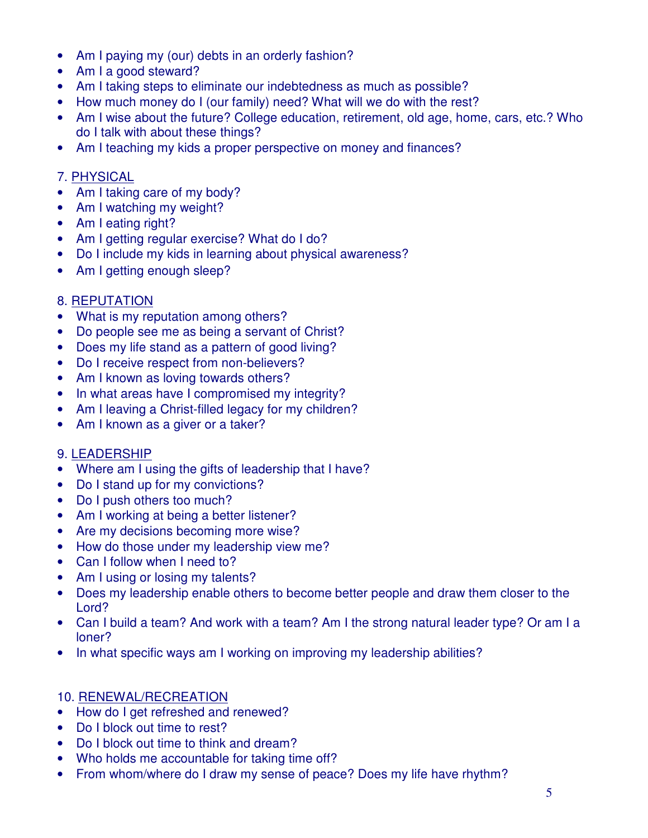- Am I paying my (our) debts in an orderly fashion?
- Am I a good steward?
- Am I taking steps to eliminate our indebtedness as much as possible?
- How much money do I (our family) need? What will we do with the rest?
- Am I wise about the future? College education, retirement, old age, home, cars, etc.? Who do I talk with about these things?
- Am I teaching my kids a proper perspective on money and finances?

#### 7. PHYSICAL

- Am I taking care of my body?
- Am I watching my weight?
- Am I eating right?
- Am I getting regular exercise? What do I do?
- Do I include my kids in learning about physical awareness?
- Am I getting enough sleep?

#### 8. REPUTATION

- What is my reputation among others?
- Do people see me as being a servant of Christ?
- Does my life stand as a pattern of good living?
- Do I receive respect from non-believers?
- Am I known as loving towards others?
- In what areas have I compromised my integrity?
- Am I leaving a Christ-filled legacy for my children?
- Am I known as a giver or a taker?

#### 9. LEADERSHIP

- Where am I using the gifts of leadership that I have?
- Do I stand up for my convictions?
- Do I push others too much?
- Am I working at being a better listener?
- Are my decisions becoming more wise?
- How do those under my leadership view me?
- Can I follow when I need to?
- Am I using or losing my talents?
- Does my leadership enable others to become better people and draw them closer to the Lord?
- Can I build a team? And work with a team? Am I the strong natural leader type? Or am I a loner?
- In what specific ways am I working on improving my leadership abilities?

#### 10. RENEWAL/RECREATION

- How do I get refreshed and renewed?
- Do I block out time to rest?
- Do I block out time to think and dream?
- Who holds me accountable for taking time off?
- From whom/where do I draw my sense of peace? Does my life have rhythm?